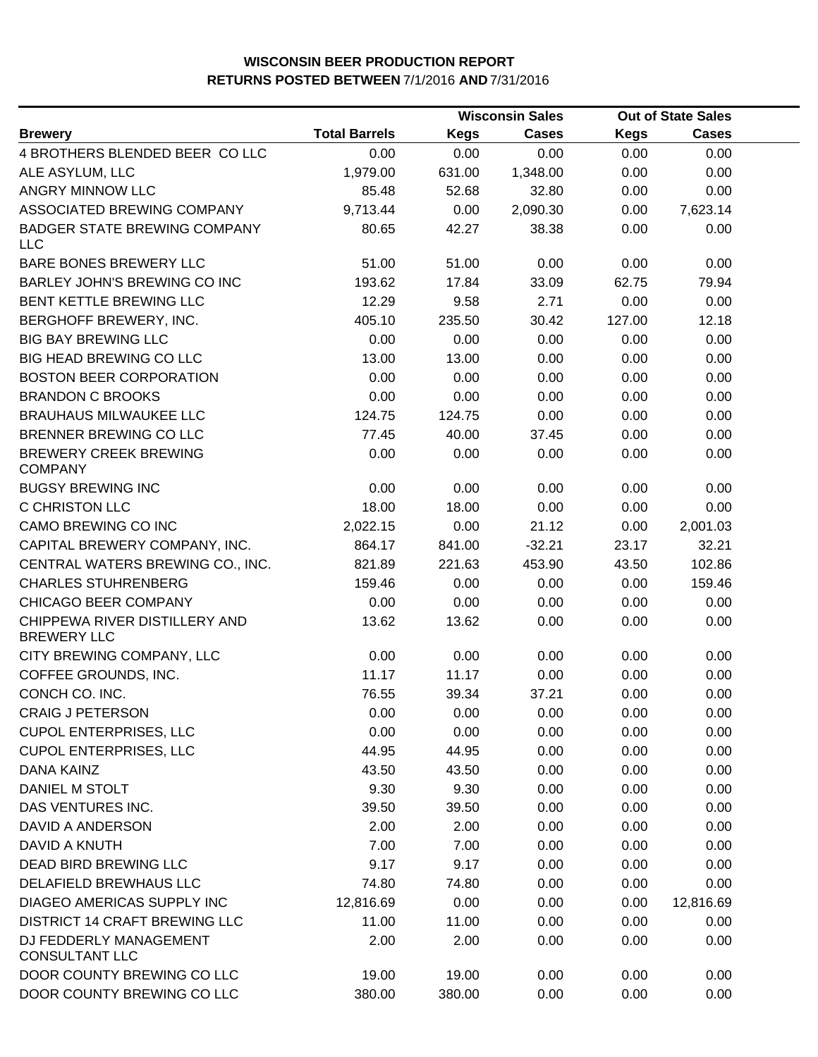|                                                     |                      |             | <b>Wisconsin Sales</b> |             | <b>Out of State Sales</b> |  |
|-----------------------------------------------------|----------------------|-------------|------------------------|-------------|---------------------------|--|
| <b>Brewery</b>                                      | <b>Total Barrels</b> | <b>Kegs</b> | Cases                  | <b>Kegs</b> | <b>Cases</b>              |  |
| 4 BROTHERS BLENDED BEER COLLC                       | 0.00                 | 0.00        | 0.00                   | 0.00        | 0.00                      |  |
| ALE ASYLUM, LLC                                     | 1,979.00             | 631.00      | 1,348.00               | 0.00        | 0.00                      |  |
| ANGRY MINNOW LLC                                    | 85.48                | 52.68       | 32.80                  | 0.00        | 0.00                      |  |
| ASSOCIATED BREWING COMPANY                          | 9,713.44             | 0.00        | 2,090.30               | 0.00        | 7,623.14                  |  |
| <b>BADGER STATE BREWING COMPANY</b><br><b>LLC</b>   | 80.65                | 42.27       | 38.38                  | 0.00        | 0.00                      |  |
| BARE BONES BREWERY LLC                              | 51.00                | 51.00       | 0.00                   | 0.00        | 0.00                      |  |
| BARLEY JOHN'S BREWING CO INC                        | 193.62               | 17.84       | 33.09                  | 62.75       | 79.94                     |  |
| <b>BENT KETTLE BREWING LLC</b>                      | 12.29                | 9.58        | 2.71                   | 0.00        | 0.00                      |  |
| BERGHOFF BREWERY, INC.                              | 405.10               | 235.50      | 30.42                  | 127.00      | 12.18                     |  |
| <b>BIG BAY BREWING LLC</b>                          | 0.00                 | 0.00        | 0.00                   | 0.00        | 0.00                      |  |
| <b>BIG HEAD BREWING CO LLC</b>                      | 13.00                | 13.00       | 0.00                   | 0.00        | 0.00                      |  |
| <b>BOSTON BEER CORPORATION</b>                      | 0.00                 | 0.00        | 0.00                   | 0.00        | 0.00                      |  |
| <b>BRANDON C BROOKS</b>                             | 0.00                 | 0.00        | 0.00                   | 0.00        | 0.00                      |  |
| BRAUHAUS MILWAUKEE LLC                              | 124.75               | 124.75      | 0.00                   | 0.00        | 0.00                      |  |
| BRENNER BREWING CO LLC                              | 77.45                | 40.00       | 37.45                  | 0.00        | 0.00                      |  |
| <b>BREWERY CREEK BREWING</b><br><b>COMPANY</b>      | 0.00                 | 0.00        | 0.00                   | 0.00        | 0.00                      |  |
| <b>BUGSY BREWING INC</b>                            | 0.00                 | 0.00        | 0.00                   | 0.00        | 0.00                      |  |
| C CHRISTON LLC                                      | 18.00                | 18.00       | 0.00                   | 0.00        | 0.00                      |  |
| CAMO BREWING CO INC                                 | 2,022.15             | 0.00        | 21.12                  | 0.00        | 2,001.03                  |  |
| CAPITAL BREWERY COMPANY, INC.                       | 864.17               | 841.00      | $-32.21$               | 23.17       | 32.21                     |  |
| CENTRAL WATERS BREWING CO., INC.                    | 821.89               | 221.63      | 453.90                 | 43.50       | 102.86                    |  |
| <b>CHARLES STUHRENBERG</b>                          | 159.46               | 0.00        | 0.00                   | 0.00        | 159.46                    |  |
| CHICAGO BEER COMPANY                                | 0.00                 | 0.00        | 0.00                   | 0.00        | 0.00                      |  |
| CHIPPEWA RIVER DISTILLERY AND<br><b>BREWERY LLC</b> | 13.62                | 13.62       | 0.00                   | 0.00        | 0.00                      |  |
| CITY BREWING COMPANY, LLC                           | 0.00                 | 0.00        | 0.00                   | 0.00        | 0.00                      |  |
| COFFEE GROUNDS, INC.                                | 11.17                | 11.17       | 0.00                   | 0.00        | 0.00                      |  |
| CONCH CO. INC.                                      | 76.55                | 39.34       | 37.21                  | 0.00        | 0.00                      |  |
| <b>CRAIG J PETERSON</b>                             | 0.00                 | 0.00        | 0.00                   | 0.00        | 0.00                      |  |
| <b>CUPOL ENTERPRISES, LLC</b>                       | 0.00                 | 0.00        | 0.00                   | 0.00        | 0.00                      |  |
| <b>CUPOL ENTERPRISES, LLC</b>                       | 44.95                | 44.95       | 0.00                   | 0.00        | 0.00                      |  |
| <b>DANA KAINZ</b>                                   | 43.50                | 43.50       | 0.00                   | 0.00        | 0.00                      |  |
| DANIEL M STOLT                                      | 9.30                 | 9.30        | 0.00                   | 0.00        | 0.00                      |  |
| DAS VENTURES INC.                                   | 39.50                | 39.50       | 0.00                   | 0.00        | 0.00                      |  |
| DAVID A ANDERSON                                    | 2.00                 | 2.00        | 0.00                   | 0.00        | 0.00                      |  |
| <b>DAVID A KNUTH</b>                                | 7.00                 | 7.00        | 0.00                   | 0.00        | 0.00                      |  |
| DEAD BIRD BREWING LLC                               | 9.17                 | 9.17        | 0.00                   | 0.00        | 0.00                      |  |
| DELAFIELD BREWHAUS LLC                              | 74.80                | 74.80       | 0.00                   | 0.00        | 0.00                      |  |
| DIAGEO AMERICAS SUPPLY INC                          | 12,816.69            | 0.00        | 0.00                   | 0.00        | 12,816.69                 |  |
| <b>DISTRICT 14 CRAFT BREWING LLC</b>                | 11.00                | 11.00       | 0.00                   | 0.00        | 0.00                      |  |
| DJ FEDDERLY MANAGEMENT<br><b>CONSULTANT LLC</b>     | 2.00                 | 2.00        | 0.00                   | 0.00        | 0.00                      |  |
| DOOR COUNTY BREWING CO LLC                          | 19.00                | 19.00       | 0.00                   | 0.00        | 0.00                      |  |
| DOOR COUNTY BREWING CO LLC                          | 380.00               | 380.00      | 0.00                   | 0.00        | 0.00                      |  |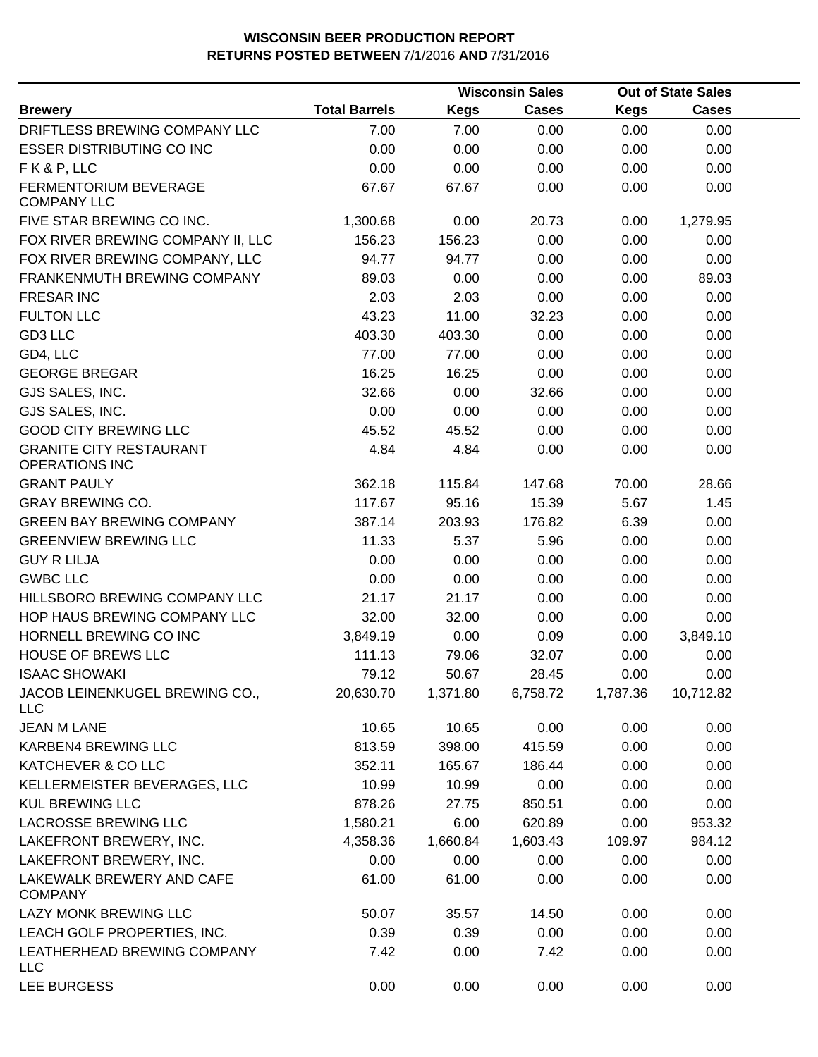|                                                         |                      |             | <b>Wisconsin Sales</b> |             | <b>Out of State Sales</b> |  |
|---------------------------------------------------------|----------------------|-------------|------------------------|-------------|---------------------------|--|
| <b>Brewery</b>                                          | <b>Total Barrels</b> | <b>Kegs</b> | <b>Cases</b>           | <b>Kegs</b> | Cases                     |  |
| DRIFTLESS BREWING COMPANY LLC                           | 7.00                 | 7.00        | 0.00                   | 0.00        | 0.00                      |  |
| <b>ESSER DISTRIBUTING CO INC</b>                        | 0.00                 | 0.00        | 0.00                   | 0.00        | 0.00                      |  |
| FK&P, LLC                                               | 0.00                 | 0.00        | 0.00                   | 0.00        | 0.00                      |  |
| FERMENTORIUM BEVERAGE<br><b>COMPANY LLC</b>             | 67.67                | 67.67       | 0.00                   | 0.00        | 0.00                      |  |
| FIVE STAR BREWING CO INC.                               | 1,300.68             | 0.00        | 20.73                  | 0.00        | 1,279.95                  |  |
| FOX RIVER BREWING COMPANY II, LLC                       | 156.23               | 156.23      | 0.00                   | 0.00        | 0.00                      |  |
| FOX RIVER BREWING COMPANY, LLC                          | 94.77                | 94.77       | 0.00                   | 0.00        | 0.00                      |  |
| FRANKENMUTH BREWING COMPANY                             | 89.03                | 0.00        | 0.00                   | 0.00        | 89.03                     |  |
| <b>FRESAR INC</b>                                       | 2.03                 | 2.03        | 0.00                   | 0.00        | 0.00                      |  |
| <b>FULTON LLC</b>                                       | 43.23                | 11.00       | 32.23                  | 0.00        | 0.00                      |  |
| GD3 LLC                                                 | 403.30               | 403.30      | 0.00                   | 0.00        | 0.00                      |  |
| GD4, LLC                                                | 77.00                | 77.00       | 0.00                   | 0.00        | 0.00                      |  |
| <b>GEORGE BREGAR</b>                                    | 16.25                | 16.25       | 0.00                   | 0.00        | 0.00                      |  |
| GJS SALES, INC.                                         | 32.66                | 0.00        | 32.66                  | 0.00        | 0.00                      |  |
| GJS SALES, INC.                                         | 0.00                 | 0.00        | 0.00                   | 0.00        | 0.00                      |  |
| <b>GOOD CITY BREWING LLC</b>                            | 45.52                | 45.52       | 0.00                   | 0.00        | 0.00                      |  |
| <b>GRANITE CITY RESTAURANT</b><br><b>OPERATIONS INC</b> | 4.84                 | 4.84        | 0.00                   | 0.00        | 0.00                      |  |
| <b>GRANT PAULY</b>                                      | 362.18               | 115.84      | 147.68                 | 70.00       | 28.66                     |  |
| <b>GRAY BREWING CO.</b>                                 | 117.67               | 95.16       | 15.39                  | 5.67        | 1.45                      |  |
| <b>GREEN BAY BREWING COMPANY</b>                        | 387.14               | 203.93      | 176.82                 | 6.39        | 0.00                      |  |
| <b>GREENVIEW BREWING LLC</b>                            | 11.33                | 5.37        | 5.96                   | 0.00        | 0.00                      |  |
| <b>GUY R LILJA</b>                                      | 0.00                 | 0.00        | 0.00                   | 0.00        | 0.00                      |  |
| <b>GWBC LLC</b>                                         | 0.00                 | 0.00        | 0.00                   | 0.00        | 0.00                      |  |
| HILLSBORO BREWING COMPANY LLC                           | 21.17                | 21.17       | 0.00                   | 0.00        | 0.00                      |  |
| HOP HAUS BREWING COMPANY LLC                            | 32.00                | 32.00       | 0.00                   | 0.00        | 0.00                      |  |
| HORNELL BREWING CO INC                                  | 3,849.19             | 0.00        | 0.09                   | 0.00        | 3,849.10                  |  |
| <b>HOUSE OF BREWS LLC</b>                               | 111.13               | 79.06       | 32.07                  | 0.00        | 0.00                      |  |
| <b>ISAAC SHOWAKI</b>                                    | 79.12                | 50.67       | 28.45                  | 0.00        | 0.00                      |  |
| JACOB LEINENKUGEL BREWING CO.,<br><b>LLC</b>            | 20,630.70            | 1,371.80    | 6,758.72               | 1,787.36    | 10,712.82                 |  |
| <b>JEAN M LANE</b>                                      | 10.65                | 10.65       | 0.00                   | 0.00        | 0.00                      |  |
| KARBEN4 BREWING LLC                                     | 813.59               | 398.00      | 415.59                 | 0.00        | 0.00                      |  |
| KATCHEVER & CO LLC                                      | 352.11               | 165.67      | 186.44                 | 0.00        | 0.00                      |  |
| KELLERMEISTER BEVERAGES, LLC                            | 10.99                | 10.99       | 0.00                   | 0.00        | 0.00                      |  |
| <b>KUL BREWING LLC</b>                                  | 878.26               | 27.75       | 850.51                 | 0.00        | 0.00                      |  |
| LACROSSE BREWING LLC                                    | 1,580.21             | 6.00        | 620.89                 | 0.00        | 953.32                    |  |
| LAKEFRONT BREWERY, INC.                                 | 4,358.36             | 1,660.84    | 1,603.43               | 109.97      | 984.12                    |  |
| LAKEFRONT BREWERY, INC.                                 | 0.00                 | 0.00        | 0.00                   | 0.00        | 0.00                      |  |
| LAKEWALK BREWERY AND CAFE<br><b>COMPANY</b>             | 61.00                | 61.00       | 0.00                   | 0.00        | 0.00                      |  |
| LAZY MONK BREWING LLC                                   | 50.07                | 35.57       | 14.50                  | 0.00        | 0.00                      |  |
| LEACH GOLF PROPERTIES, INC.                             | 0.39                 | 0.39        | 0.00                   | 0.00        | 0.00                      |  |
| LEATHERHEAD BREWING COMPANY<br><b>LLC</b>               | 7.42                 | 0.00        | 7.42                   | 0.00        | 0.00                      |  |
| LEE BURGESS                                             | 0.00                 | 0.00        | 0.00                   | 0.00        | 0.00                      |  |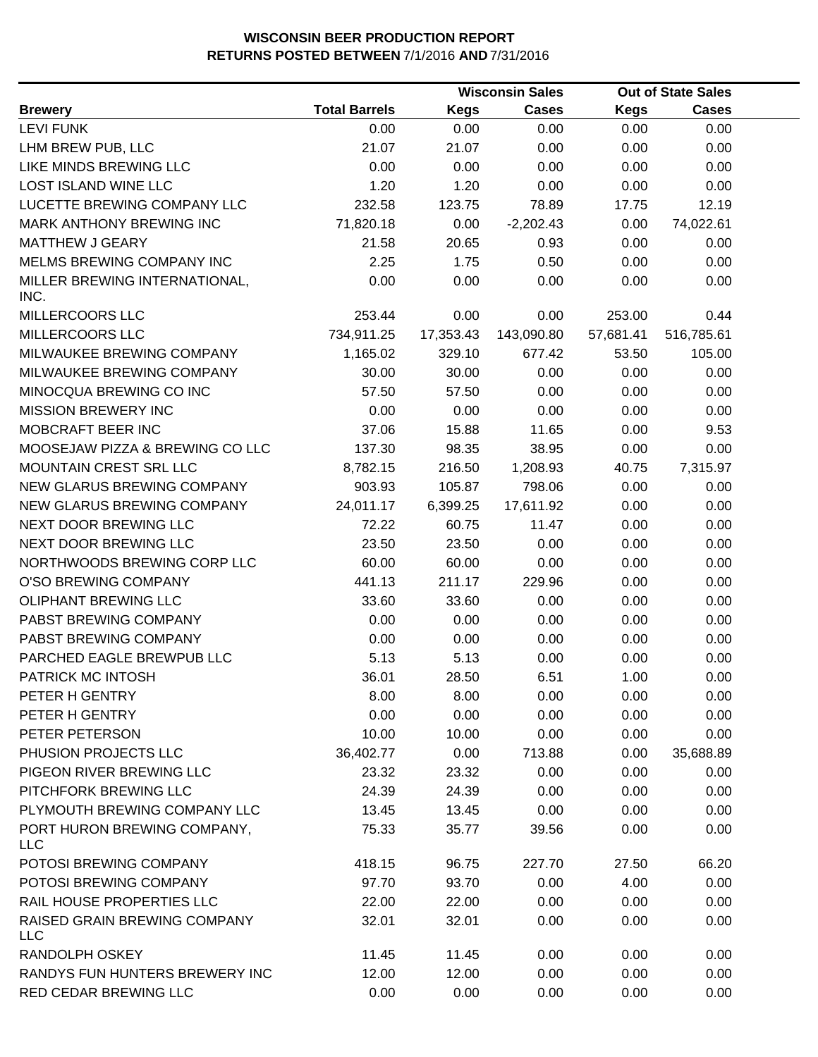|                                            |                      |             | <b>Wisconsin Sales</b> |             | <b>Out of State Sales</b> |  |
|--------------------------------------------|----------------------|-------------|------------------------|-------------|---------------------------|--|
| <b>Brewery</b>                             | <b>Total Barrels</b> | <b>Kegs</b> | <b>Cases</b>           | <b>Kegs</b> | <b>Cases</b>              |  |
| <b>LEVI FUNK</b>                           | 0.00                 | 0.00        | 0.00                   | 0.00        | 0.00                      |  |
| LHM BREW PUB, LLC                          | 21.07                | 21.07       | 0.00                   | 0.00        | 0.00                      |  |
| LIKE MINDS BREWING LLC                     | 0.00                 | 0.00        | 0.00                   | 0.00        | 0.00                      |  |
| LOST ISLAND WINE LLC                       | 1.20                 | 1.20        | 0.00                   | 0.00        | 0.00                      |  |
| LUCETTE BREWING COMPANY LLC                | 232.58               | 123.75      | 78.89                  | 17.75       | 12.19                     |  |
| MARK ANTHONY BREWING INC                   | 71,820.18            | 0.00        | $-2,202.43$            | 0.00        | 74,022.61                 |  |
| <b>MATTHEW J GEARY</b>                     | 21.58                | 20.65       | 0.93                   | 0.00        | 0.00                      |  |
| MELMS BREWING COMPANY INC                  | 2.25                 | 1.75        | 0.50                   | 0.00        | 0.00                      |  |
| MILLER BREWING INTERNATIONAL,              | 0.00                 | 0.00        | 0.00                   | 0.00        | 0.00                      |  |
| INC.                                       |                      |             |                        |             |                           |  |
| MILLERCOORS LLC                            | 253.44               | 0.00        | 0.00                   | 253.00      | 0.44                      |  |
| MILLERCOORS LLC                            | 734,911.25           | 17,353.43   | 143,090.80             | 57,681.41   | 516,785.61                |  |
| MILWAUKEE BREWING COMPANY                  | 1,165.02             | 329.10      | 677.42                 | 53.50       | 105.00                    |  |
| MILWAUKEE BREWING COMPANY                  | 30.00                | 30.00       | 0.00                   | 0.00        | 0.00                      |  |
| MINOCQUA BREWING CO INC                    | 57.50                | 57.50       | 0.00                   | 0.00        | 0.00                      |  |
| <b>MISSION BREWERY INC</b>                 | 0.00                 | 0.00        | 0.00                   | 0.00        | 0.00                      |  |
| MOBCRAFT BEER INC                          | 37.06                | 15.88       | 11.65                  | 0.00        | 9.53                      |  |
| MOOSEJAW PIZZA & BREWING CO LLC            | 137.30               | 98.35       | 38.95                  | 0.00        | 0.00                      |  |
| MOUNTAIN CREST SRL LLC                     | 8,782.15             | 216.50      | 1,208.93               | 40.75       | 7,315.97                  |  |
| NEW GLARUS BREWING COMPANY                 | 903.93               | 105.87      | 798.06                 | 0.00        | 0.00                      |  |
| NEW GLARUS BREWING COMPANY                 | 24,011.17            | 6,399.25    | 17,611.92              | 0.00        | 0.00                      |  |
| NEXT DOOR BREWING LLC                      | 72.22                | 60.75       | 11.47                  | 0.00        | 0.00                      |  |
| NEXT DOOR BREWING LLC                      | 23.50                | 23.50       | 0.00                   | 0.00        | 0.00                      |  |
| NORTHWOODS BREWING CORP LLC                | 60.00                | 60.00       | 0.00                   | 0.00        | 0.00                      |  |
| O'SO BREWING COMPANY                       | 441.13               | 211.17      | 229.96                 | 0.00        | 0.00                      |  |
| OLIPHANT BREWING LLC                       | 33.60                | 33.60       | 0.00                   | 0.00        | 0.00                      |  |
| PABST BREWING COMPANY                      | 0.00                 | 0.00        | 0.00                   | 0.00        | 0.00                      |  |
| PABST BREWING COMPANY                      | 0.00                 | 0.00        | 0.00                   | 0.00        | 0.00                      |  |
| PARCHED EAGLE BREWPUB LLC                  | 5.13                 | 5.13        | 0.00                   | 0.00        | 0.00                      |  |
| PATRICK MC INTOSH                          | 36.01                | 28.50       | 6.51                   | 1.00        | 0.00                      |  |
| PETER H GENTRY                             | 8.00                 | 8.00        | 0.00                   | 0.00        | 0.00                      |  |
| PETER H GENTRY                             | 0.00                 | 0.00        | 0.00                   | 0.00        | 0.00                      |  |
| PETER PETERSON                             | 10.00                | 10.00       | 0.00                   | 0.00        | 0.00                      |  |
| PHUSION PROJECTS LLC                       | 36,402.77            | 0.00        | 713.88                 | 0.00        | 35,688.89                 |  |
| PIGEON RIVER BREWING LLC                   | 23.32                | 23.32       | 0.00                   | 0.00        | 0.00                      |  |
| PITCHFORK BREWING LLC                      | 24.39                | 24.39       | 0.00                   | 0.00        | 0.00                      |  |
| PLYMOUTH BREWING COMPANY LLC               | 13.45                | 13.45       | 0.00                   | 0.00        | 0.00                      |  |
| PORT HURON BREWING COMPANY,<br><b>LLC</b>  | 75.33                | 35.77       | 39.56                  | 0.00        | 0.00                      |  |
| POTOSI BREWING COMPANY                     | 418.15               | 96.75       | 227.70                 | 27.50       | 66.20                     |  |
| POTOSI BREWING COMPANY                     | 97.70                | 93.70       | 0.00                   | 4.00        | 0.00                      |  |
| RAIL HOUSE PROPERTIES LLC                  | 22.00                | 22.00       | 0.00                   | 0.00        | 0.00                      |  |
| RAISED GRAIN BREWING COMPANY<br><b>LLC</b> | 32.01                | 32.01       | 0.00                   | 0.00        | 0.00                      |  |
| RANDOLPH OSKEY                             | 11.45                | 11.45       | 0.00                   | 0.00        | 0.00                      |  |
| RANDYS FUN HUNTERS BREWERY INC             | 12.00                | 12.00       | 0.00                   | 0.00        | 0.00                      |  |
| RED CEDAR BREWING LLC                      | 0.00                 | 0.00        | 0.00                   | 0.00        | 0.00                      |  |
|                                            |                      |             |                        |             |                           |  |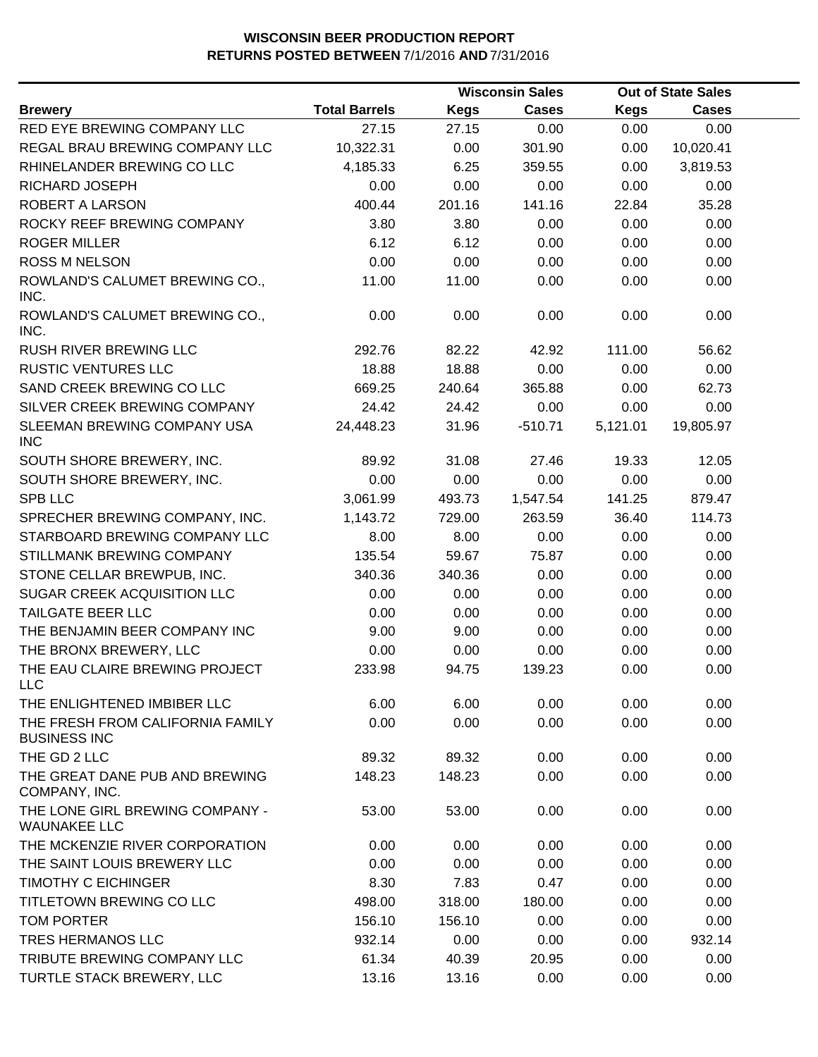|                                                         |                      |             | <b>Wisconsin Sales</b> |             | <b>Out of State Sales</b> |  |
|---------------------------------------------------------|----------------------|-------------|------------------------|-------------|---------------------------|--|
| <b>Brewery</b>                                          | <b>Total Barrels</b> | <b>Kegs</b> | Cases                  | <b>Kegs</b> | <b>Cases</b>              |  |
| RED EYE BREWING COMPANY LLC                             | 27.15                | 27.15       | 0.00                   | 0.00        | 0.00                      |  |
| REGAL BRAU BREWING COMPANY LLC                          | 10,322.31            | 0.00        | 301.90                 | 0.00        | 10,020.41                 |  |
| RHINELANDER BREWING CO LLC                              | 4,185.33             | 6.25        | 359.55                 | 0.00        | 3,819.53                  |  |
| RICHARD JOSEPH                                          | 0.00                 | 0.00        | 0.00                   | 0.00        | 0.00                      |  |
| ROBERT A LARSON                                         | 400.44               | 201.16      | 141.16                 | 22.84       | 35.28                     |  |
| ROCKY REEF BREWING COMPANY                              | 3.80                 | 3.80        | 0.00                   | 0.00        | 0.00                      |  |
| <b>ROGER MILLER</b>                                     | 6.12                 | 6.12        | 0.00                   | 0.00        | 0.00                      |  |
| <b>ROSS M NELSON</b>                                    | 0.00                 | 0.00        | 0.00                   | 0.00        | 0.00                      |  |
| ROWLAND'S CALUMET BREWING CO.,<br>INC.                  | 11.00                | 11.00       | 0.00                   | 0.00        | 0.00                      |  |
| ROWLAND'S CALUMET BREWING CO.,<br>INC.                  | 0.00                 | 0.00        | 0.00                   | 0.00        | 0.00                      |  |
| <b>RUSH RIVER BREWING LLC</b>                           | 292.76               | 82.22       | 42.92                  | 111.00      | 56.62                     |  |
| <b>RUSTIC VENTURES LLC</b>                              | 18.88                | 18.88       | 0.00                   | 0.00        | 0.00                      |  |
| SAND CREEK BREWING CO LLC                               | 669.25               | 240.64      | 365.88                 | 0.00        | 62.73                     |  |
| SILVER CREEK BREWING COMPANY                            | 24.42                | 24.42       | 0.00                   | 0.00        | 0.00                      |  |
| SLEEMAN BREWING COMPANY USA<br><b>INC</b>               | 24,448.23            | 31.96       | $-510.71$              | 5,121.01    | 19,805.97                 |  |
| SOUTH SHORE BREWERY, INC.                               | 89.92                | 31.08       | 27.46                  | 19.33       | 12.05                     |  |
| SOUTH SHORE BREWERY, INC.                               | 0.00                 | 0.00        | 0.00                   | 0.00        | 0.00                      |  |
| <b>SPB LLC</b>                                          | 3,061.99             | 493.73      | 1,547.54               | 141.25      | 879.47                    |  |
| SPRECHER BREWING COMPANY, INC.                          | 1,143.72             | 729.00      | 263.59                 | 36.40       | 114.73                    |  |
| STARBOARD BREWING COMPANY LLC                           | 8.00                 | 8.00        | 0.00                   | 0.00        | 0.00                      |  |
| STILLMANK BREWING COMPANY                               | 135.54               | 59.67       | 75.87                  | 0.00        | 0.00                      |  |
| STONE CELLAR BREWPUB, INC.                              | 340.36               | 340.36      | 0.00                   | 0.00        | 0.00                      |  |
| SUGAR CREEK ACQUISITION LLC                             | 0.00                 | 0.00        | 0.00                   | 0.00        | 0.00                      |  |
| TAILGATE BEER LLC                                       | 0.00                 | 0.00        | 0.00                   | 0.00        | 0.00                      |  |
| THE BENJAMIN BEER COMPANY INC                           | 9.00                 | 9.00        | 0.00                   | 0.00        | 0.00                      |  |
| THE BRONX BREWERY, LLC                                  | 0.00                 | 0.00        | 0.00                   | 0.00        | 0.00                      |  |
| THE EAU CLAIRE BREWING PROJECT<br>LLC                   | 233.98               | 94.75       | 139.23                 | 0.00        | 0.00                      |  |
| THE ENLIGHTENED IMBIBER LLC                             | 6.00                 | 6.00        | 0.00                   | 0.00        | 0.00                      |  |
| THE FRESH FROM CALIFORNIA FAMILY<br><b>BUSINESS INC</b> | 0.00                 | 0.00        | 0.00                   | 0.00        | 0.00                      |  |
| THE GD 2 LLC                                            | 89.32                | 89.32       | 0.00                   | 0.00        | 0.00                      |  |
| THE GREAT DANE PUB AND BREWING<br>COMPANY, INC.         | 148.23               | 148.23      | 0.00                   | 0.00        | 0.00                      |  |
| THE LONE GIRL BREWING COMPANY -<br><b>WAUNAKEE LLC</b>  | 53.00                | 53.00       | 0.00                   | 0.00        | 0.00                      |  |
| THE MCKENZIE RIVER CORPORATION                          | 0.00                 | 0.00        | 0.00                   | 0.00        | 0.00                      |  |
| THE SAINT LOUIS BREWERY LLC                             | 0.00                 | 0.00        | 0.00                   | 0.00        | 0.00                      |  |
| <b>TIMOTHY C EICHINGER</b>                              | 8.30                 | 7.83        | 0.47                   | 0.00        | 0.00                      |  |
| TITLETOWN BREWING CO LLC                                | 498.00               | 318.00      | 180.00                 | 0.00        | 0.00                      |  |
| TOM PORTER                                              | 156.10               | 156.10      | 0.00                   | 0.00        | 0.00                      |  |
| <b>TRES HERMANOS LLC</b>                                | 932.14               | 0.00        | 0.00                   | 0.00        | 932.14                    |  |
| TRIBUTE BREWING COMPANY LLC                             | 61.34                | 40.39       | 20.95                  | 0.00        | 0.00                      |  |
| TURTLE STACK BREWERY, LLC                               | 13.16                | 13.16       | 0.00                   | 0.00        | 0.00                      |  |